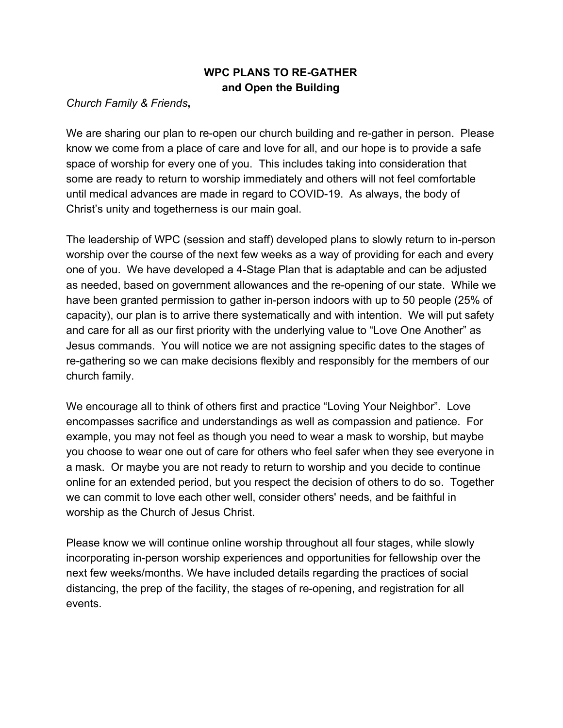## **WPC PLANS TO RE-GATHER and Open the Building**

#### *Church Family & Friends***,**

We are sharing our plan to re-open our church building and re-gather in person. Please know we come from a place of care and love for all, and our hope is to provide a safe space of worship for every one of you. This includes taking into consideration that some are ready to return to worship immediately and others will not feel comfortable until medical advances are made in regard to COVID-19. As always, the body of Christ's unity and togetherness is our main goal.

The leadership of WPC (session and staff) developed plans to slowly return to in-person worship over the course of the next few weeks as a way of providing for each and every one of you. We have developed a 4-Stage Plan that is adaptable and can be adjusted as needed, based on government allowances and the re-opening of our state. While we have been granted permission to gather in-person indoors with up to 50 people (25% of capacity), our plan is to arrive there systematically and with intention. We will put safety and care for all as our first priority with the underlying value to "Love One Another" as Jesus commands. You will notice we are not assigning specific dates to the stages of re-gathering so we can make decisions flexibly and responsibly for the members of our church family.

We encourage all to think of others first and practice "Loving Your Neighbor". Love encompasses sacrifice and understandings as well as compassion and patience. For example, you may not feel as though you need to wear a mask to worship, but maybe you choose to wear one out of care for others who feel safer when they see everyone in a mask. Or maybe you are not ready to return to worship and you decide to continue online for an extended period, but you respect the decision of others to do so. Together we can commit to love each other well, consider others' needs, and be faithful in worship as the Church of Jesus Christ.

Please know we will continue online worship throughout all four stages, while slowly incorporating in-person worship experiences and opportunities for fellowship over the next few weeks/months. We have included details regarding the practices of social distancing, the prep of the facility, the stages of re-opening, and registration for all events.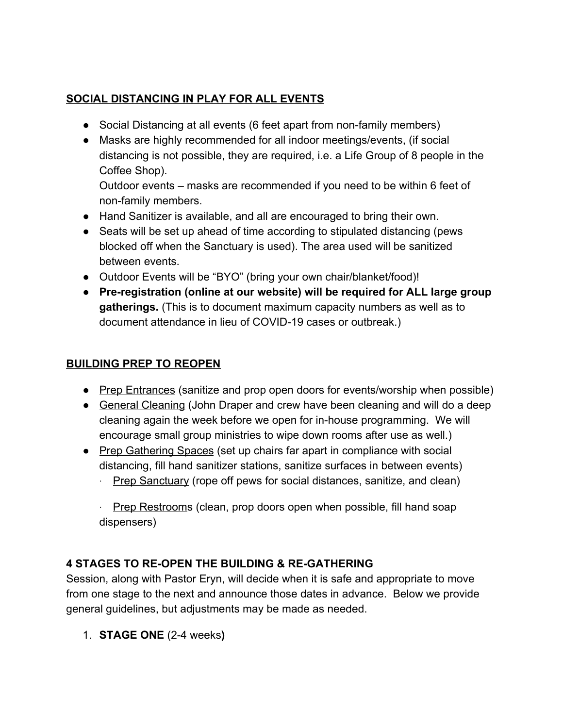## **SOCIAL DISTANCING IN PLAY FOR ALL EVENTS**

- Social Distancing at all events (6 feet apart from non-family members)
- Masks are highly recommended for all indoor meetings/events, (if social distancing is not possible, they are required, i.e. a Life Group of 8 people in the Coffee Shop).

Outdoor events – masks are recommended if you need to be within 6 feet of non-family members.

- Hand Sanitizer is available, and all are encouraged to bring their own.
- Seats will be set up ahead of time according to stipulated distancing (pews blocked off when the Sanctuary is used). The area used will be sanitized between events.
- Outdoor Events will be "BYO" (bring your own chair/blanket/food)!
- **Pre-registration (online at our website) will be required for ALL large group gatherings.** (This is to document maximum capacity numbers as well as to document attendance in lieu of COVID-19 cases or outbreak.)

### **BUILDING PREP TO REOPEN**

- Prep Entrances (sanitize and prop open doors for events/worship when possible)
- General Cleaning (John Draper and crew have been cleaning and will do a deep cleaning again the week before we open for in-house programming. We will encourage small group ministries to wipe down rooms after use as well.)
- Prep Gathering Spaces (set up chairs far apart in compliance with social distancing, fill hand sanitizer stations, sanitize surfaces in between events)
	- · Prep Sanctuary (rope off pews for social distances, sanitize, and clean)

· Prep Restrooms (clean, prop doors open when possible, fill hand soap dispensers)

# **4 STAGES TO RE-OPEN THE BUILDING & RE-GATHERING**

Session, along with Pastor Eryn, will decide when it is safe and appropriate to move from one stage to the next and announce those dates in advance. Below we provide general guidelines, but adjustments may be made as needed.

1. **STAGE ONE** (2-4 weeks**)**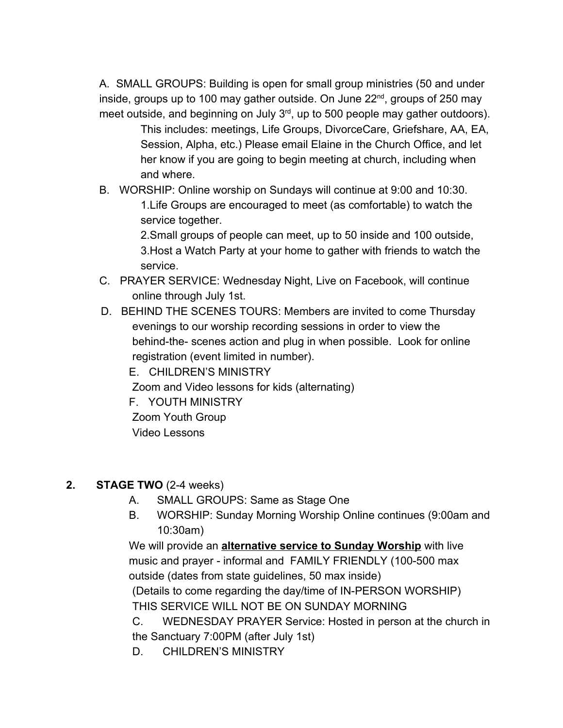A. SMALL GROUPS: Building is open for small group ministries (50 and under inside, groups up to 100 may gather outside. On June 22<sup>nd</sup>, groups of 250 may meet outside, and beginning on July  $3<sup>rd</sup>$ , up to 500 people may gather outdoors).

This includes: meetings, Life Groups, DivorceCare, Griefshare, AA, EA, Session, Alpha, etc.) Please email Elaine in the Church Office, and let her know if you are going to begin meeting at church, including when and where.

B. WORSHIP: Online worship on Sundays will continue at 9:00 and 10:30. 1.Life Groups are encouraged to meet (as comfortable) to watch the service together.

> 2.Small groups of people can meet, up to 50 inside and 100 outside, 3.Host a Watch Party at your home to gather with friends to watch the service.

- C. PRAYER SERVICE: Wednesday Night, Live on Facebook, will continue online through July 1st.
- D. BEHIND THE SCENES TOURS: Members are invited to come Thursday evenings to our worship recording sessions in order to view the behind-the- scenes action and plug in when possible. Look for online registration (event limited in number).

E. CHILDREN'S MINISTRY Zoom and Video lessons for kids (alternating) F. YOUTH MINISTRY Zoom Youth Group Video Lessons

#### **2. STAGE TWO** (2-4 weeks)

- A. SMALL GROUPS: Same as Stage One
- B. WORSHIP: Sunday Morning Worship Online continues (9:00am and 10:30am)

We will provide an **alternative service to Sunday Worship** with live music and prayer - informal and FAMILY FRIENDLY (100-500 max outside (dates from state guidelines, 50 max inside) (Details to come regarding the day/time of IN-PERSON WORSHIP) THIS SERVICE WILL NOT BE ON SUNDAY MORNING

C. WEDNESDAY PRAYER Service: Hosted in person at the church in the Sanctuary 7:00PM (after July 1st)

D. CHILDREN'S MINISTRY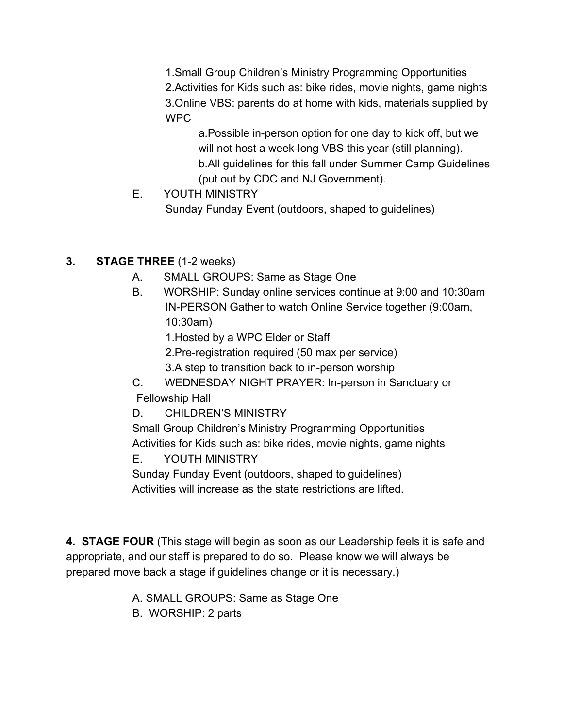1.Small Group Children's Ministry Programming Opportunities 2.Activities for Kids such as: bike rides, movie nights, game nights 3.Online VBS: parents do at home with kids, materials supplied by WPC

a.Possible in-person option for one day to kick off, but we will not host a week-long VBS this year (still planning). b.All guidelines for this fall under Summer Camp Guidelines (put out by CDC and NJ Government).

E. YOUTH MINISTRY

Sunday Funday Event (outdoors, shaped to guidelines)

- **3. STAGE THREE** (1-2 weeks)
	- A. SMALL GROUPS: Same as Stage One
	- B. WORSHIP: Sunday online services continue at 9:00 and 10:30am IN-PERSON Gather to watch Online Service together (9:00am, 10:30am)

1.Hosted by a WPC Elder or Staff

- 2.Pre-registration required (50 max per service)
- 3.A step to transition back to in-person worship
- C. WEDNESDAY NIGHT PRAYER: In-person in Sanctuary or Fellowship Hall
- D. CHILDREN'S MINISTRY

Small Group Children's Ministry Programming Opportunities Activities for Kids such as: bike rides, movie nights, game nights

E. YOUTH MINISTRY

Sunday Funday Event (outdoors, shaped to guidelines) Activities will increase as the state restrictions are lifted.

**4. STAGE FOUR** (This stage will begin as soon as our Leadership feels it is safe and appropriate, and our staff is prepared to do so. Please know we will always be prepared move back a stage if guidelines change or it is necessary.)

A. SMALL GROUPS: Same as Stage One

B. WORSHIP: 2 parts